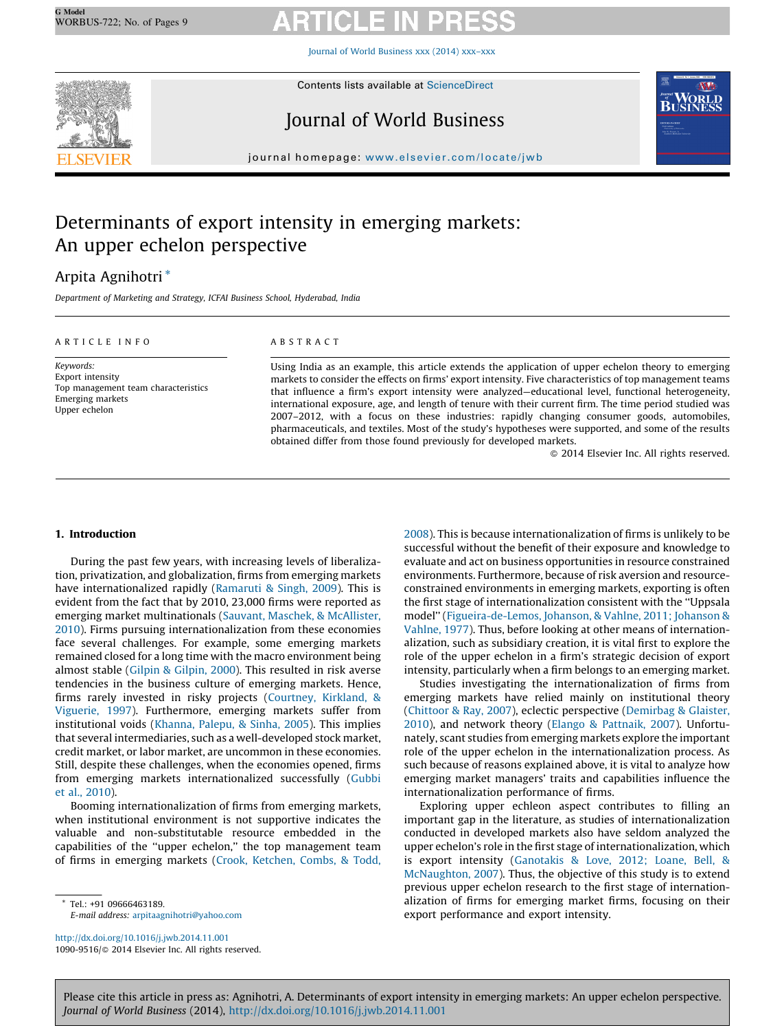Journal of World [Business](http://dx.doi.org/10.1016/j.jwb.2014.11.001) xxx (2014) xxx–xxx



Contents lists available at [ScienceDirect](http://www.sciencedirect.com/science/journal/10909516)

# Journal of World Business



journal homepage: <www.elsevier.com/locate/jwb>

# Determinants of export intensity in emerging markets: An upper echelon perspective

# Arpita Agnihotri \*

Department of Marketing and Strategy, ICFAI Business School, Hyderabad, India

### A R T I C L E L N E O

### A B S T R A C T

Keywords: Export intensity Top management team characteristics Emerging markets Upper echelon

Using India as an example, this article extends the application of upper echelon theory to emerging markets to consider the effects on firms' export intensity. Five characteristics of top management teams that influence a firm's export intensity were analyzed—educational level, functional heterogeneity, international exposure, age, and length of tenure with their current firm. The time period studied was 2007–2012, with a focus on these industries: rapidly changing consumer goods, automobiles, pharmaceuticals, and textiles. Most of the study's hypotheses were supported, and some of the results obtained differ from those found previously for developed markets.

- 2014 Elsevier Inc. All rights reserved.

# 1. Introduction

During the past few years, with increasing levels of liberalization, privatization, and globalization, firms from emerging markets have internationalized rapidly [\(Ramaruti](#page-8-0) & Singh, 2009). This is evident from the fact that by 2010, 23,000 firms were reported as emerging market multinationals (Sauvant, Maschek, & [McAllister,](#page-8-0) [2010\)](#page-8-0). Firms pursuing internationalization from these economies face several challenges. For example, some emerging markets remained closed for a long time with the macro environment being almost stable (Gilpin & [Gilpin,](#page-7-0) 2000). This resulted in risk averse tendencies in the business culture of emerging markets. Hence, firms rarely invested in risky projects ([Courtney,](#page-7-0) Kirkland, & [Viguerie,](#page-7-0) 1997). Furthermore, emerging markets suffer from institutional voids [\(Khanna,](#page-7-0) Palepu, & Sinha, 2005). This implies that several intermediaries, such as a well-developed stock market, credit market, or labor market, are uncommon in these economies. Still, despite these challenges, when the economies opened, firms from emerging markets internationalized successfully ([Gubbi](#page-7-0) et al., [2010](#page-7-0)).

Booming internationalization of firms from emerging markets, when institutional environment is not supportive indicates the valuable and non-substitutable resource embedded in the capabilities of the ''upper echelon,'' the top management team of firms in emerging markets (Crook, [Ketchen,](#page-7-0) Combs, & Todd,

\* Tel.: +91 09666463189. E-mail address: [arpitaagnihotri@yahoo.com](mailto:arpitaagnihotri@yahoo.com)

<http://dx.doi.org/10.1016/j.jwb.2014.11.001> 1090-9516/© 2014 Elsevier Inc. All rights reserved. [2008\)](#page-7-0). This is because internationalization of firms is unlikely to be successful without the benefit of their exposure and knowledge to evaluate and act on business opportunities in resource constrained environments. Furthermore, because of risk aversion and resourceconstrained environments in emerging markets, exporting is often the first stage of internationalization consistent with the ''Uppsala model'' [\(Figueira-de-Lemos,](#page-7-0) Johanson, & Vahlne, 2011; Johanson & [Vahlne,](#page-7-0) 1977). Thus, before looking at other means of internationalization, such as subsidiary creation, it is vital first to explore the role of the upper echelon in a firm's strategic decision of export intensity, particularly when a firm belongs to an emerging market.

Studies investigating the internationalization of firms from emerging markets have relied mainly on institutional theory ([Chittoor](#page-7-0) & Ray, 2007), eclectic perspective ([Demirbag](#page-7-0) & Glaister, [2010\)](#page-7-0), and network theory (Elango & [Pattnaik,](#page-7-0) 2007). Unfortunately, scant studies from emerging markets explore the important role of the upper echelon in the internationalization process. As such because of reasons explained above, it is vital to analyze how emerging market managers' traits and capabilities influence the internationalization performance of firms.

Exploring upper echleon aspect contributes to filling an important gap in the literature, as studies of internationalization conducted in developed markets also have seldom analyzed the upper echelon's role in the first stage of internationalization, which is export intensity ([Ganotakis](#page-7-0) & Love, 2012; Loane, Bell, & [McNaughton,](#page-7-0) 2007). Thus, the objective of this study is to extend previous upper echelon research to the first stage of internationalization of firms for emerging market firms, focusing on their export performance and export intensity.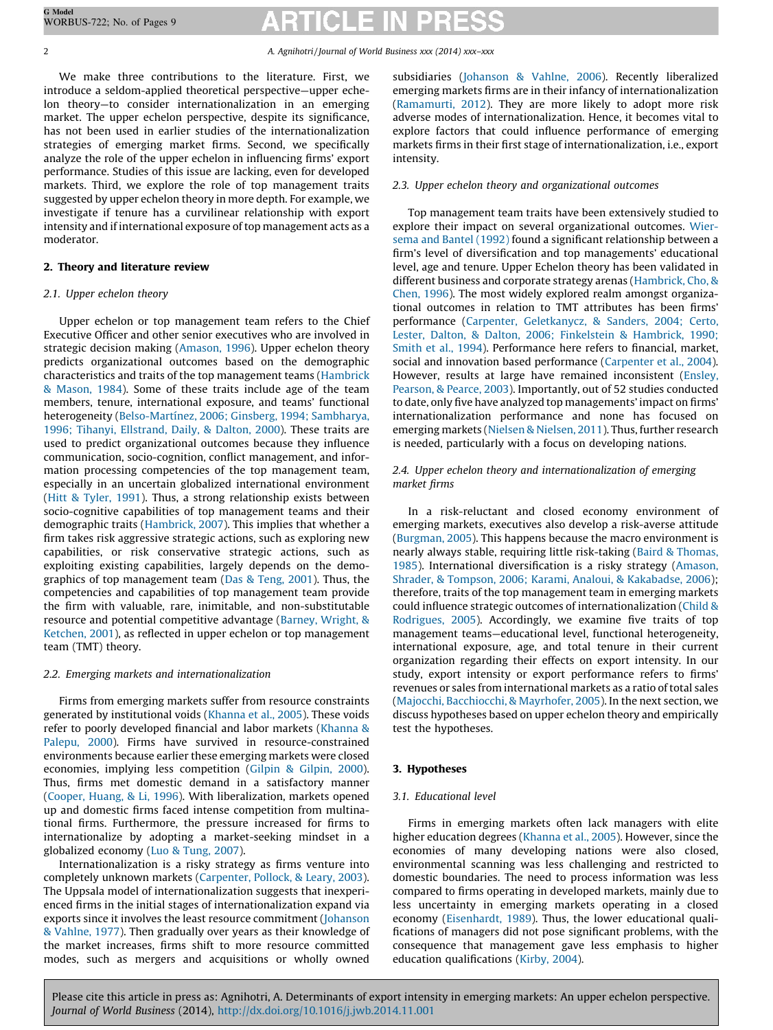We make three contributions to the literature. First, we introduce a seldom-applied theoretical perspective—upper echelon theory—to consider internationalization in an emerging market. The upper echelon perspective, despite its significance, has not been used in earlier studies of the internationalization strategies of emerging market firms. Second, we specifically analyze the role of the upper echelon in influencing firms' export performance. Studies of this issue are lacking, even for developed markets. Third, we explore the role of top management traits suggested by upper echelon theory in more depth. For example, we investigate if tenure has a curvilinear relationship with export intensity and if international exposure of top management acts as a moderator.

# 2. Theory and literature review

# 2.1. Upper echelon theory

Upper echelon or top management team refers to the Chief Executive Officer and other senior executives who are involved in strategic decision making [\(Amason,](#page-7-0) 1996). Upper echelon theory predicts organizational outcomes based on the demographic characteristics and traits of the top management teams [\(Hambrick](#page-7-0) & [Mason,](#page-7-0) 1984). Some of these traits include age of the team members, tenure, international exposure, and teams' functional heterogeneity (Belso-Martínez, 2006; Ginsberg, 1994; Sambharya, 1996; Tihanyi, [Ellstrand,](#page-7-0) Daily, & Dalton, 2000). These traits are used to predict organizational outcomes because they influence communication, socio-cognition, conflict management, and information processing competencies of the top management team, especially in an uncertain globalized international environment (Hitt & [Tyler,](#page-7-0) 1991). Thus, a strong relationship exists between socio-cognitive capabilities of top management teams and their demographic traits ([Hambrick,](#page-7-0) 2007). This implies that whether a firm takes risk aggressive strategic actions, such as exploring new capabilities, or risk conservative strategic actions, such as exploiting existing capabilities, largely depends on the demographics of top management team (Das & [Teng,](#page-7-0) 2001). Thus, the competencies and capabilities of top management team provide the firm with valuable, rare, inimitable, and non-substitutable resource and potential competitive advantage (Barney, [Wright,](#page-7-0) & [Ketchen,](#page-7-0) 2001), as reflected in upper echelon or top management team (TMT) theory.

# 2.2. Emerging markets and internationalization

Firms from emerging markets suffer from resource constraints generated by institutional voids [\(Khanna](#page-7-0) et al., 2005). These voids refer to poorly developed financial and labor markets [\(Khanna](#page-7-0) & [Palepu,](#page-7-0) 2000). Firms have survived in resource-constrained environments because earlier these emerging markets were closed economies, implying less competition (Gilpin & [Gilpin,](#page-7-0) 2000). Thus, firms met domestic demand in a satisfactory manner ([Cooper,](#page-7-0) Huang, & Li, 1996). With liberalization, markets opened up and domestic firms faced intense competition from multinational firms. Furthermore, the pressure increased for firms to internationalize by adopting a market-seeking mindset in a globalized economy (Luo & [Tung,](#page-8-0) 2007).

Internationalization is a risky strategy as firms venture into completely unknown markets ([Carpenter,](#page-7-0) Pollock, & Leary, 2003). The Uppsala model of internationalization suggests that inexperienced firms in the initial stages of internationalization expand via exports since it involves the least resource commitment ([Johanson](#page-7-0) & [Vahlne,](#page-7-0) 1977). Then gradually over years as their knowledge of the market increases, firms shift to more resource committed modes, such as mergers and acquisitions or wholly owned

subsidiaries [\(Johanson](#page-7-0) & Vahlne, 2006). Recently liberalized emerging markets firms are in their infancy of internationalization ([Ramamurti,](#page-8-0) 2012). They are more likely to adopt more risk adverse modes of internationalization. Hence, it becomes vital to explore factors that could influence performance of emerging markets firms in their first stage of internationalization, i.e., export intensity.

### 2.3. Upper echelon theory and organizational outcomes

Top management team traits have been extensively studied to explore their impact on several organizational outcomes. [Wier](#page-8-0)sema and Bantel [\(1992\)](#page-8-0) found a significant relationship between a firm's level of diversification and top managements' educational level, age and tenure. Upper Echelon theory has been validated in different business and corporate strategy arenas ([Hambrick,](#page-7-0) Cho, & [Chen,](#page-7-0) 1996). The most widely explored realm amongst organizational outcomes in relation to TMT attributes has been firms' performance (Carpenter, [Geletkanycz,](#page-7-0) & Sanders, 2004; Certo, Lester, Dalton, & Dalton, 2006; [Finkelstein](#page-7-0) & Hambrick, 1990; [Smith](#page-7-0) et al., 1994). Performance here refers to financial, market, social and innovation based performance [\(Carpenter](#page-7-0) et al., 2004). However, results at large have remained inconsistent [\(Ensley,](#page-7-0) [Pearson,](#page-7-0) & Pearce, 2003). Importantly, out of 52 studies conducted to date, only five have analyzed top managements' impact on firms' internationalization performance and none has focused on emerging markets (Nielsen & [Nielsen,](#page-8-0) 2011). Thus, further research is needed, particularly with a focus on developing nations.

## 2.4. Upper echelon theory and internationalization of emerging market firms

In a risk-reluctant and closed economy environment of emerging markets, executives also develop a risk-averse attitude ([Burgman,](#page-7-0) 2005). This happens because the macro environment is nearly always stable, requiring little risk-taking (Baird & [Thomas,](#page-7-0) [1985](#page-7-0)). International diversification is a risky strategy [\(Amason,](#page-7-0) Shrader, & Tompson, 2006; Karami, Analoui, & [Kakabadse,](#page-7-0) 2006); therefore, traits of the top management team in emerging markets could influence strategic outcomes of internationalization [\(Child](#page-7-0) & [Rodrigues,](#page-7-0) 2005). Accordingly, we examine five traits of top management teams—educational level, functional heterogeneity, international exposure, age, and total tenure in their current organization regarding their effects on export intensity. In our study, export intensity or export performance refers to firms' revenues or sales from international markets as a ratio of total sales (Majocchi, [Bacchiocchi,](#page-8-0) & Mayrhofer, 2005). In the next section, we discuss hypotheses based on upper echelon theory and empirically test the hypotheses.

# 3. Hypotheses

### 3.1. Educational level

Firms in emerging markets often lack managers with elite higher education degrees [\(Khanna](#page-7-0) et al., 2005). However, since the economies of many developing nations were also closed, environmental scanning was less challenging and restricted to domestic boundaries. The need to process information was less compared to firms operating in developed markets, mainly due to less uncertainty in emerging markets operating in a closed economy [\(Eisenhardt,](#page-7-0) 1989). Thus, the lower educational qualifications of managers did not pose significant problems, with the consequence that management gave less emphasis to higher education qualifications ([Kirby,](#page-7-0) 2004).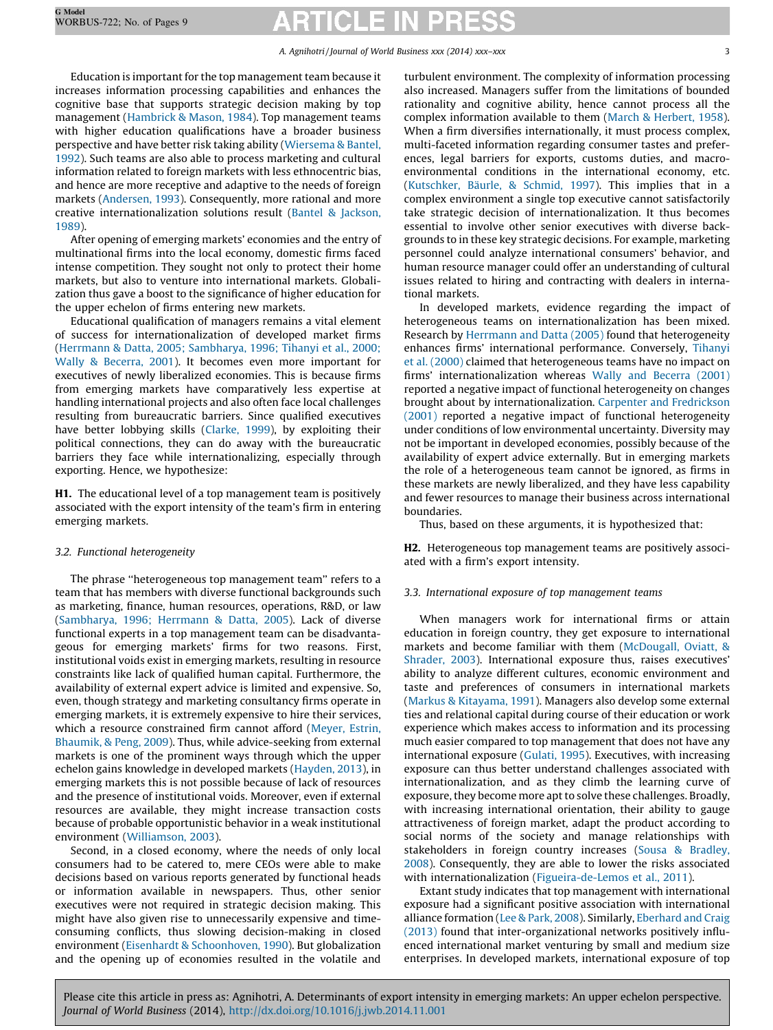Education is important for the top management team because it increases information processing capabilities and enhances the cognitive base that supports strategic decision making by top management [\(Hambrick](#page-7-0) & Mason, 1984). Top management teams with higher education qualifications have a broader business perspective and have better risk taking ability [\(Wiersema](#page-8-0) & Bantel, [1992\)](#page-8-0). Such teams are also able to process marketing and cultural information related to foreign markets with less ethnocentric bias, and hence are more receptive and adaptive to the needs of foreign markets [\(Andersen,](#page-7-0) 1993). Consequently, more rational and more creative internationalization solutions result (Bantel & [Jackson,](#page-7-0) [1989\)](#page-7-0).

After opening of emerging markets' economies and the entry of multinational firms into the local economy, domestic firms faced intense competition. They sought not only to protect their home markets, but also to venture into international markets. Globalization thus gave a boost to the significance of higher education for the upper echelon of firms entering new markets.

Educational qualification of managers remains a vital element of success for internationalization of developed market firms (Herrmann & Datta, 2005; [Sambharya,](#page-7-0) 1996; Tihanyi et al., 2000; Wally & [Becerra,](#page-7-0) 2001). It becomes even more important for executives of newly liberalized economies. This is because firms from emerging markets have comparatively less expertise at handling international projects and also often face local challenges resulting from bureaucratic barriers. Since qualified executives have better lobbying skills [\(Clarke,](#page-7-0) 1999), by exploiting their political connections, they can do away with the bureaucratic barriers they face while internationalizing, especially through exporting. Hence, we hypothesize:

H1. The educational level of a top management team is positively associated with the export intensity of the team's firm in entering emerging markets.

### 3.2. Functional heterogeneity

The phrase ''heterogeneous top management team'' refers to a team that has members with diverse functional backgrounds such as marketing, finance, human resources, operations, R&D, or law ([Sambharya,](#page-8-0) 1996; Herrmann & Datta, 2005). Lack of diverse functional experts in a top management team can be disadvantageous for emerging markets' firms for two reasons. First, institutional voids exist in emerging markets, resulting in resource constraints like lack of qualified human capital. Furthermore, the availability of external expert advice is limited and expensive. So, even, though strategy and marketing consultancy firms operate in emerging markets, it is extremely expensive to hire their services, which a resource constrained firm cannot afford ([Meyer,](#page-8-0) Estrin, [Bhaumik,](#page-8-0) & Peng, 2009). Thus, while advice-seeking from external markets is one of the prominent ways through which the upper echelon gains knowledge in developed markets ([Hayden,](#page-7-0) 2013), in emerging markets this is not possible because of lack of resources and the presence of institutional voids. Moreover, even if external resources are available, they might increase transaction costs because of probable opportunistic behavior in a weak institutional environment ([Williamson,](#page-8-0) 2003).

Second, in a closed economy, where the needs of only local consumers had to be catered to, mere CEOs were able to make decisions based on various reports generated by functional heads or information available in newspapers. Thus, other senior executives were not required in strategic decision making. This might have also given rise to unnecessarily expensive and timeconsuming conflicts, thus slowing decision-making in closed environment (Eisenhardt & [Schoonhoven,](#page-7-0) 1990). But globalization and the opening up of economies resulted in the volatile and turbulent environment. The complexity of information processing also increased. Managers suffer from the limitations of bounded rationality and cognitive ability, hence cannot process all the complex information available to them (March & [Herbert,](#page-8-0) 1958). When a firm diversifies internationally, it must process complex, multi-faceted information regarding consumer tastes and preferences, legal barriers for exports, customs duties, and macroenvironmental conditions in the international economy, etc. ([Kutschker,](#page-7-0) Bäurle, & Schmid, 1997). This implies that in a complex environment a single top executive cannot satisfactorily take strategic decision of internationalization. It thus becomes essential to involve other senior executives with diverse backgrounds to in these key strategic decisions. For example, marketing personnel could analyze international consumers' behavior, and human resource manager could offer an understanding of cultural issues related to hiring and contracting with dealers in international markets.

In developed markets, evidence regarding the impact of heterogeneous teams on internationalization has been mixed. Research by [Herrmann](#page-7-0) and Datta (2005) found that heterogeneity enhances firms' international performance. Conversely, [Tihanyi](#page-8-0) et al. [\(2000\)](#page-8-0) claimed that heterogeneous teams have no impact on firms' internationalization whereas Wally and [Becerra](#page-8-0) (2001) reported a negative impact of functional heterogeneity on changes brought about by internationalization. Carpenter and [Fredrickson](#page-7-0) [\(2001\)](#page-7-0) reported a negative impact of functional heterogeneity under conditions of low environmental uncertainty. Diversity may not be important in developed economies, possibly because of the availability of expert advice externally. But in emerging markets the role of a heterogeneous team cannot be ignored, as firms in these markets are newly liberalized, and they have less capability and fewer resources to manage their business across international boundaries.

Thus, based on these arguments, it is hypothesized that:

H2. Heterogeneous top management teams are positively associated with a firm's export intensity.

### 3.3. International exposure of top management teams

When managers work for international firms or attain education in foreign country, they get exposure to international markets and become familiar with them ([McDougall,](#page-8-0) Oviatt, & [Shrader,](#page-8-0) 2003). International exposure thus, raises executives' ability to analyze different cultures, economic environment and taste and preferences of consumers in international markets (Markus & [Kitayama,](#page-8-0) 1991). Managers also develop some external ties and relational capital during course of their education or work experience which makes access to information and its processing much easier compared to top management that does not have any international exposure ([Gulati,](#page-7-0) 1995). Executives, with increasing exposure can thus better understand challenges associated with internationalization, and as they climb the learning curve of exposure, they become more apt to solve these challenges. Broadly, with increasing international orientation, their ability to gauge attractiveness of foreign market, adapt the product according to social norms of the society and manage relationships with stakeholders in foreign country increases (Sousa & [Bradley,](#page-8-0) [2008\)](#page-8-0). Consequently, they are able to lower the risks associated with internationalization ([Figueira-de-Lemos](#page-7-0) et al., 2011).

Extant study indicates that top management with international exposure had a significant positive association with international alliance formation (Lee & [Park,](#page-7-0) 2008). Similarly, [Eberhard](#page-7-0) and Craig [\(2013\)](#page-7-0) found that inter-organizational networks positively influenced international market venturing by small and medium size enterprises. In developed markets, international exposure of top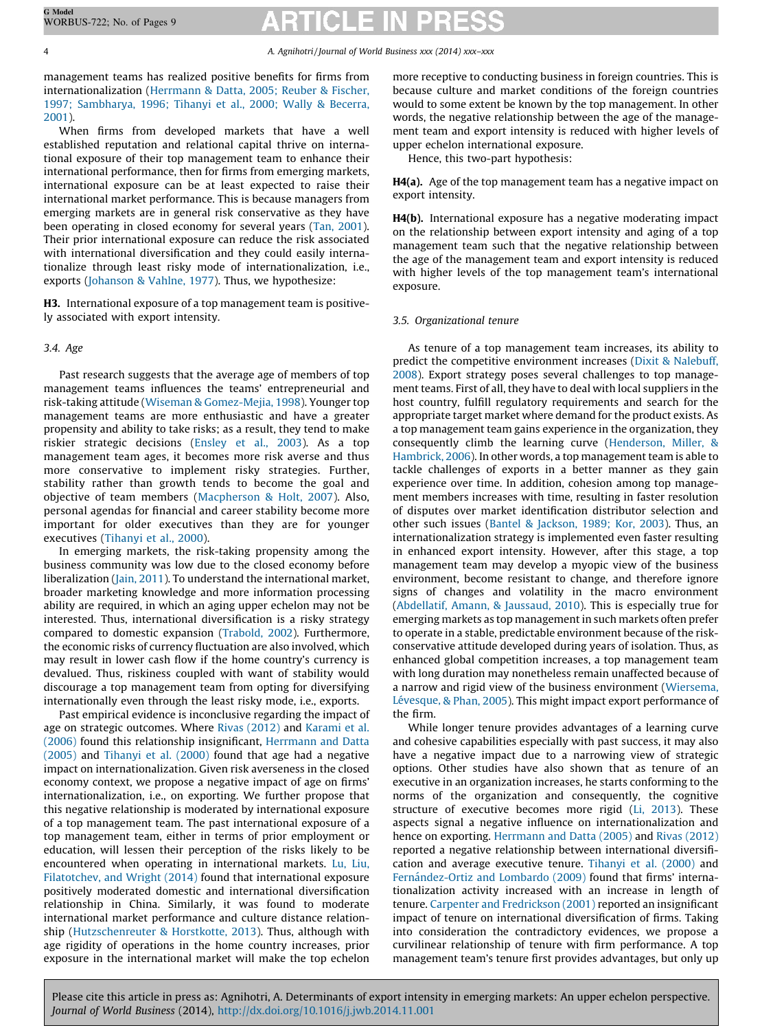management teams has realized positive benefits for firms from internationalization ([Herrmann](#page-7-0) & Datta, 2005; Reuber & Fischer, 1997; [Sambharya,](#page-7-0) 1996; Tihanyi et al., 2000; Wally & Becerra, [2001\)](#page-7-0).

When firms from developed markets that have a well established reputation and relational capital thrive on international exposure of their top management team to enhance their international performance, then for firms from emerging markets, international exposure can be at least expected to raise their international market performance. This is because managers from emerging markets are in general risk conservative as they have been operating in closed economy for several years (Tan, [2001\)](#page-8-0). Their prior international exposure can reduce the risk associated with international diversification and they could easily internationalize through least risky mode of internationalization, i.e., exports [\(Johanson](#page-7-0) & Vahlne, 1977). Thus, we hypothesize:

H3. International exposure of a top management team is positively associated with export intensity.

# 3.4. Age

Past research suggests that the average age of members of top management teams influences the teams' entrepreneurial and risk-taking attitude (Wiseman & [Gomez-Mejia,](#page-8-0) 1998). Younger top management teams are more enthusiastic and have a greater propensity and ability to take risks; as a result, they tend to make riskier strategic decisions [\(Ensley](#page-7-0) et al., 2003). As a top management team ages, it becomes more risk averse and thus more conservative to implement risky strategies. Further, stability rather than growth tends to become the goal and objective of team members ([Macpherson](#page-8-0) & Holt, 2007). Also, personal agendas for financial and career stability become more important for older executives than they are for younger executives ([Tihanyi](#page-8-0) et al., 2000).

In emerging markets, the risk-taking propensity among the business community was low due to the closed economy before liberalization (Jain, [2011](#page-7-0)). To understand the international market, broader marketing knowledge and more information processing ability are required, in which an aging upper echelon may not be interested. Thus, international diversification is a risky strategy compared to domestic expansion ([Trabold,](#page-8-0) 2002). Furthermore, the economic risks of currency fluctuation are also involved, which may result in lower cash flow if the home country's currency is devalued. Thus, riskiness coupled with want of stability would discourage a top management team from opting for diversifying internationally even through the least risky mode, i.e., exports.

Past empirical evidence is inconclusive regarding the impact of age on strategic outcomes. Where Rivas [\(2012\)](#page-8-0) and [Karami](#page-7-0) et al. [\(2006\)](#page-7-0) found this relationship insignificant, [Herrmann](#page-7-0) and Datta [\(2005\)](#page-7-0) and [Tihanyi](#page-8-0) et al. (2000) found that age had a negative impact on internationalization. Given risk averseness in the closed economy context, we propose a negative impact of age on firms' internationalization, i.e., on exporting. We further propose that this negative relationship is moderated by international exposure of a top management team. The past international exposure of a top management team, either in terms of prior employment or education, will lessen their perception of the risks likely to be encountered when operating in international markets. Lu, [Liu,](#page-8-0) [Filatotchev,](#page-8-0) and Wright (2014) found that international exposure positively moderated domestic and international diversification relationship in China. Similarly, it was found to moderate international market performance and culture distance relationship [\(Hutzschenreuter](#page-7-0) & Horstkotte, 2013). Thus, although with age rigidity of operations in the home country increases, prior exposure in the international market will make the top echelon

more receptive to conducting business in foreign countries. This is because culture and market conditions of the foreign countries would to some extent be known by the top management. In other words, the negative relationship between the age of the management team and export intensity is reduced with higher levels of upper echelon international exposure.

Hence, this two-part hypothesis:

H4(a). Age of the top management team has a negative impact on export intensity.

H4(b). International exposure has a negative moderating impact on the relationship between export intensity and aging of a top management team such that the negative relationship between the age of the management team and export intensity is reduced with higher levels of the top management team's international exposure.

# 3.5. Organizational tenure

As tenure of a top management team increases, its ability to predict the competitive environment increases (Dixit & [Nalebuff,](#page-7-0) [2008\)](#page-7-0). Export strategy poses several challenges to top management teams. First of all, they have to deal with local suppliers in the host country, fulfill regulatory requirements and search for the appropriate target market where demand for the product exists. As a top management team gains experience in the organization, they consequently climb the learning curve [\(Henderson,](#page-7-0) Miller, & [Hambrick,](#page-7-0) 2006). In other words, a top management team is able to tackle challenges of exports in a better manner as they gain experience over time. In addition, cohesion among top management members increases with time, resulting in faster resolution of disputes over market identification distributor selection and other such issues (Bantel & [Jackson,](#page-7-0) 1989; Kor, 2003). Thus, an internationalization strategy is implemented even faster resulting in enhanced export intensity. However, after this stage, a top management team may develop a myopic view of the business environment, become resistant to change, and therefore ignore signs of changes and volatility in the macro environment ([Abdellatif,](#page-7-0) Amann, & Jaussaud, 2010). This is especially true for emerging markets as top management in such markets often prefer to operate in a stable, predictable environment because of the riskconservative attitude developed during years of isolation. Thus, as enhanced global competition increases, a top management team with long duration may nonetheless remain unaffected because of a narrow and rigid view of the business environment [\(Wiersema,](#page-8-0) Lévesque, & Phan, 2005). This might impact export performance of the firm.

While longer tenure provides advantages of a learning curve and cohesive capabilities especially with past success, it may also have a negative impact due to a narrowing view of strategic options. Other studies have also shown that as tenure of an executive in an organization increases, he starts conforming to the norms of the organization and consequently, the cognitive structure of executive becomes more rigid (Li, [2013](#page-8-0)). These aspects signal a negative influence on internationalization and hence on exporting. [Herrmann](#page-7-0) and Datta (2005) and Rivas [\(2012\)](#page-8-0) reported a negative relationship between international diversification and average executive tenure. [Tihanyi](#page-8-0) et al. (2000) and Fernández-Ortiz and Lombardo (2009) found that firms' internationalization activity increased with an increase in length of tenure. Carpenter and [Fredrickson](#page-7-0) (2001) reported an insignificant impact of tenure on international diversification of firms. Taking into consideration the contradictory evidences, we propose a curvilinear relationship of tenure with firm performance. A top management team's tenure first provides advantages, but only up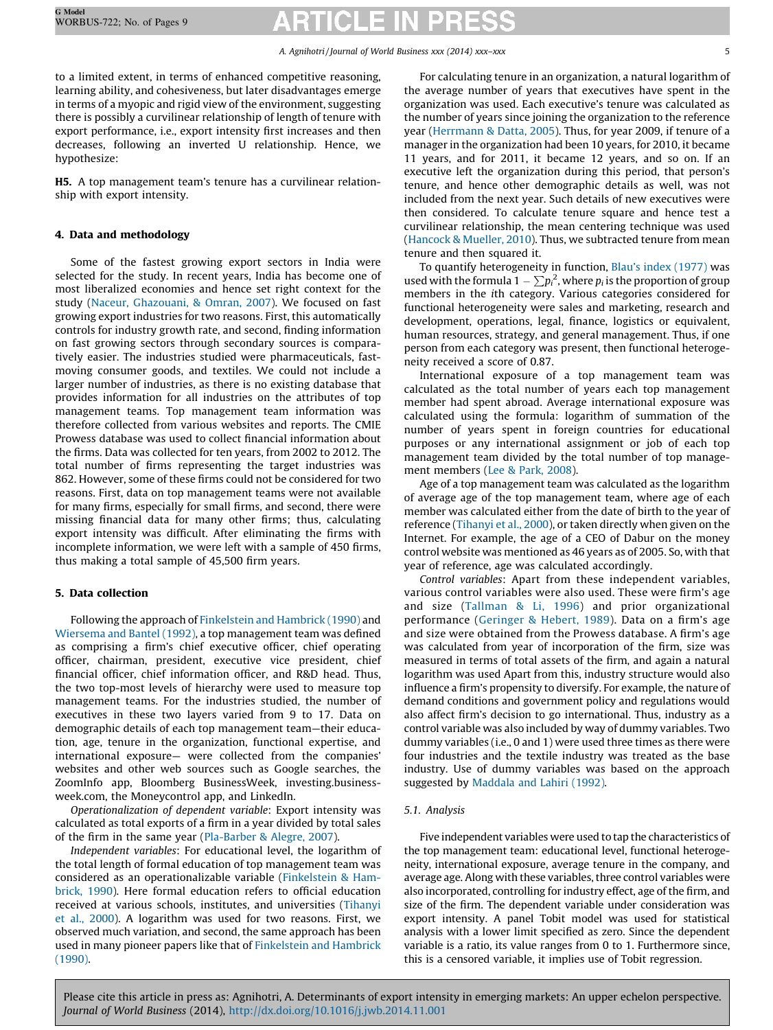to a limited extent, in terms of enhanced competitive reasoning, learning ability, and cohesiveness, but later disadvantages emerge in terms of a myopic and rigid view of the environment, suggesting there is possibly a curvilinear relationship of length of tenure with export performance, i.e., export intensity first increases and then decreases, following an inverted U relationship. Hence, we hypothesize:

H5. A top management team's tenure has a curvilinear relationship with export intensity.

# 4. Data and methodology

Some of the fastest growing export sectors in India were selected for the study. In recent years, India has become one of most liberalized economies and hence set right context for the study (Naceur, [Ghazouani,](#page-8-0) & Omran, 2007). We focused on fast growing export industries for two reasons. First, this automatically controls for industry growth rate, and second, finding information on fast growing sectors through secondary sources is comparatively easier. The industries studied were pharmaceuticals, fastmoving consumer goods, and textiles. We could not include a larger number of industries, as there is no existing database that provides information for all industries on the attributes of top management teams. Top management team information was therefore collected from various websites and reports. The CMIE Prowess database was used to collect financial information about the firms. Data was collected for ten years, from 2002 to 2012. The total number of firms representing the target industries was 862. However, some of these firms could not be considered for two reasons. First, data on top management teams were not available for many firms, especially for small firms, and second, there were missing financial data for many other firms; thus, calculating export intensity was difficult. After eliminating the firms with incomplete information, we were left with a sample of 450 firms, thus making a total sample of 45,500 firm years.

### 5. Data collection

Following the approach of [Finkelstein](#page-7-0) and Hambrick (1990) and [Wiersema](#page-8-0) and Bantel (1992), a top management team was defined as comprising a firm's chief executive officer, chief operating officer, chairman, president, executive vice president, chief financial officer, chief information officer, and R&D head. Thus, the two top-most levels of hierarchy were used to measure top management teams. For the industries studied, the number of executives in these two layers varied from 9 to 17. Data on demographic details of each top management team—their education, age, tenure in the organization, functional expertise, and international exposure— were collected from the companies' websites and other web sources such as Google searches, the ZoomInfo app, Bloomberg BusinessWeek, investing.businessweek.com, the Moneycontrol app, and LinkedIn.

Operationalization of dependent variable: Export intensity was calculated as total exports of a firm in a year divided by total sales of the firm in the same year [\(Pla-Barber](#page-8-0) & Alegre, 2007).

Independent variables: For educational level, the logarithm of the total length of formal education of top management team was considered as an operationalizable variable ([Finkelstein](#page-7-0) & Ham[brick,](#page-7-0) 1990). Here formal education refers to official education received at various schools, institutes, and universities [\(Tihanyi](#page-8-0) et al., [2000](#page-8-0)). A logarithm was used for two reasons. First, we observed much variation, and second, the same approach has been used in many pioneer papers like that of [Finkelstein](#page-7-0) and Hambrick [\(1990\).](#page-7-0)

For calculating tenure in an organization, a natural logarithm of the average number of years that executives have spent in the organization was used. Each executive's tenure was calculated as the number of years since joining the organization to the reference year ([Herrmann](#page-7-0) & Datta, 2005). Thus, for year 2009, if tenure of a manager in the organization had been 10 years, for 2010, it became 11 years, and for 2011, it became 12 years, and so on. If an executive left the organization during this period, that person's tenure, and hence other demographic details as well, was not included from the next year. Such details of new executives were then considered. To calculate tenure square and hence test a curvilinear relationship, the mean centering technique was used ([Hancock](#page-7-0) & Mueller, 2010). Thus, we subtracted tenure from mean tenure and then squared it.

To quantify heterogeneity in function, Blau's index [\(1977\)](#page-7-0) was used with the formula  $1 - \sum p_i^2$ , where  $p_i$  is the proportion of group members in the ith category. Various categories considered for functional heterogeneity were sales and marketing, research and development, operations, legal, finance, logistics or equivalent, human resources, strategy, and general management. Thus, if one person from each category was present, then functional heterogeneity received a score of 0.87.

International exposure of a top management team was calculated as the total number of years each top management member had spent abroad. Average international exposure was calculated using the formula: logarithm of summation of the number of years spent in foreign countries for educational purposes or any international assignment or job of each top management team divided by the total number of top management members (Lee & Park, [2008\)](#page-7-0).

Age of a top management team was calculated as the logarithm of average age of the top management team, where age of each member was calculated either from the date of birth to the year of reference [\(Tihanyi](#page-8-0) et al., 2000), or taken directly when given on the Internet. For example, the age of a CEO of Dabur on the money control website was mentioned as 46 years as of 2005. So, with that year of reference, age was calculated accordingly.

Control variables: Apart from these independent variables, various control variables were also used. These were firm's age and size ([Tallman](#page-8-0) & Li, 1996) and prior organizational performance [\(Geringer](#page-7-0) & Hebert, 1989). Data on a firm's age and size were obtained from the Prowess database. A firm's age was calculated from year of incorporation of the firm, size was measured in terms of total assets of the firm, and again a natural logarithm was used Apart from this, industry structure would also influence a firm's propensity to diversify. For example, the nature of demand conditions and government policy and regulations would also affect firm's decision to go international. Thus, industry as a control variable was also included by way of dummy variables. Two dummy variables (i.e., 0 and 1) were used three times as there were four industries and the textile industry was treated as the base industry. Use of dummy variables was based on the approach suggested by [Maddala](#page-8-0) and Lahiri (1992).

### 5.1. Analysis

Five independent variables were used to tap the characteristics of the top management team: educational level, functional heterogeneity, international exposure, average tenure in the company, and average age. Along with these variables, three control variables were also incorporated, controlling for industry effect, age of the firm, and size of the firm. The dependent variable under consideration was export intensity. A panel Tobit model was used for statistical analysis with a lower limit specified as zero. Since the dependent variable is a ratio, its value ranges from 0 to 1. Furthermore since, this is a censored variable, it implies use of Tobit regression.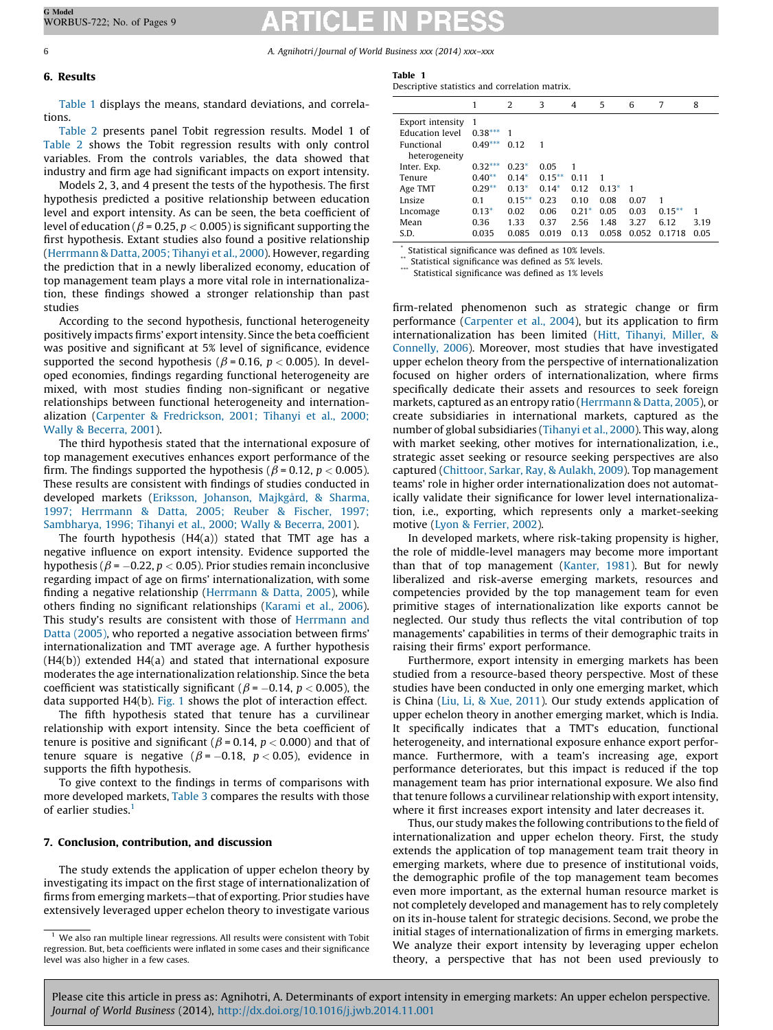### 6. Results

tions.

### Table 1 Descriptive statistics and correlation matrix.

Table 1 displays the means, standard deviations, and correla-

[Table](#page-6-0) 2 presents panel Tobit regression results. Model 1 of [Table](#page-6-0) 2 shows the Tobit regression results with only control variables. From the controls variables, the data showed that industry and firm age had significant impacts on export intensity.

Models 2, 3, and 4 present the tests of the hypothesis. The first hypothesis predicted a positive relationship between education level and export intensity. As can be seen, the beta coefficient of level of education ( $\beta$  = 0.25, p < 0.005) is significant supporting the first hypothesis. Extant studies also found a positive relationship ([Herrmann](#page-7-0) & Datta, 2005; Tihanyi et al., 2000). However, regarding the prediction that in a newly liberalized economy, education of top management team plays a more vital role in internationalization, these findings showed a stronger relationship than past studies

According to the second hypothesis, functional heterogeneity positively impacts firms' export intensity. Since the beta coefficient was positive and significant at 5% level of significance, evidence supported the second hypothesis ( $\beta$  = 0.16, p < 0.005). In developed economies, findings regarding functional heterogeneity are mixed, with most studies finding non-significant or negative relationships between functional heterogeneity and internationalization (Carpenter & [Fredrickson,](#page-7-0) 2001; Tihanyi et al., 2000; Wally & [Becerra,](#page-7-0) 2001).

The third hypothesis stated that the international exposure of top management executives enhances export performance of the firm. The findings supported the hypothesis ( $\beta$  = 0.12, p < 0.005). These results are consistent with findings of studies conducted in developed markets (Eriksson, [Johanson,](#page-7-0) Majkgård, & Sharma, 1997; [Herrmann](#page-7-0) & Datta, 2005; Reuber & Fischer, 1997; [Sambharya,](#page-7-0) 1996; Tihanyi et al., 2000; Wally & Becerra, 2001).

The fourth hypothesis (H4(a)) stated that TMT age has a negative influence on export intensity. Evidence supported the hypothesis ( $\beta$  =  $-$ 0.22,  $p$  < 0.05). Prior studies remain inconclusive regarding impact of age on firms' internationalization, with some finding a negative relationship [\(Herrmann](#page-7-0) & Datta, 2005), while others finding no significant relationships [\(Karami](#page-7-0) et al., 2006). This study's results are consistent with those of [Herrmann](#page-7-0) and Datta [\(2005\)](#page-7-0), who reported a negative association between firms' internationalization and TMT average age. A further hypothesis  $(H4(b))$  extended  $H4(a)$  and stated that international exposure moderates the age internationalization relationship. Since the beta coefficient was statistically significant ( $\beta$  = -0.14, p < 0.005), the data supported H4(b). [Fig.](#page-6-0) 1 shows the plot of interaction effect.

The fifth hypothesis stated that tenure has a curvilinear relationship with export intensity. Since the beta coefficient of tenure is positive and significant ( $\beta$  = 0.14,  $p$  < 0.000) and that of tenure square is negative ( $\beta$  = -0.18, p < 0.05), evidence in supports the fifth hypothesis.

To give context to the findings in terms of comparisons with more developed markets, [Table](#page-6-0) 3 compares the results with those of earlier studies.<sup>1</sup>

# 7. Conclusion, contribution, and discussion

The study extends the application of upper echelon theory by investigating its impact on the first stage of internationalization of firms from emerging markets—that of exporting. Prior studies have extensively leveraged upper echelon theory to investigate various

|                                            |                | 2         | 3         | $\overline{4}$ | 5       | 6     | 7         | 8    |
|--------------------------------------------|----------------|-----------|-----------|----------------|---------|-------|-----------|------|
| Export intensity<br><b>Education</b> level | 1<br>$0.38***$ | 1         |           |                |         |       |           |      |
| Functional<br>heterogeneity                | $0.49***$      | 0.12      | 1         |                |         |       |           |      |
| Inter. Exp.                                | $0.32***$      | $0.23*$   | 0.05      | 1              |         |       |           |      |
| Tenure                                     | $0.40**$       | $0.14*$   | $0.15***$ | 0.11           | 1       |       |           |      |
| Age TMT                                    | $0.29**$       | $0.13*$   | $0.14*$   | 0.12           | $0.13*$ | 1     |           |      |
| Lnsize                                     | 0.1            | $0.15***$ | 0.23      | 0.10           | 0.08    | 0.07  | 1         |      |
| Lncomage                                   | $0.13*$        | 0.02      | 0.06      | $0.21*$        | 0.05    | 0.03  | $0.15***$ | 1    |
| Mean                                       | 0.36           | 1.33      | 0.37      | 2.56           | 1.48    | 3.27  | 6.12      | 3.19 |
| S.D.                                       | 0.035          | 0.085     | 0.019     | 0.13           | 0.058   | 0.052 | 0.1718    | 0.05 |

Statistical significance was defined as 10% levels.

Statistical significance was defined as 5% levels.

Statistical significance was defined as 1% levels

firm-related phenomenon such as strategic change or firm performance ([Carpenter](#page-7-0) et al., 2004), but its application to firm internationalization has been limited (Hitt, [Tihanyi,](#page-7-0) Miller, & [Connelly,](#page-7-0) 2006). Moreover, most studies that have investigated upper echelon theory from the perspective of internationalization focused on higher orders of internationalization, where firms specifically dedicate their assets and resources to seek foreign markets, captured as an entropy ratio ([Herrmann](#page-7-0) & Datta, 2005), or create subsidiaries in international markets, captured as the number of global subsidiaries ([Tihanyi](#page-8-0) et al., 2000). This way, along with market seeking, other motives for internationalization, i.e., strategic asset seeking or resource seeking perspectives are also captured ([Chittoor,](#page-7-0) Sarkar, Ray, & Aulakh, 2009). Top management teams' role in higher order internationalization does not automatically validate their significance for lower level internationalization, i.e., exporting, which represents only a market-seeking motive (Lyon & [Ferrier,](#page-8-0) 2002).

In developed markets, where risk-taking propensity is higher, the role of middle-level managers may become more important than that of top management [\(Kanter,](#page-7-0) 1981). But for newly liberalized and risk-averse emerging markets, resources and competencies provided by the top management team for even primitive stages of internationalization like exports cannot be neglected. Our study thus reflects the vital contribution of top managements' capabilities in terms of their demographic traits in raising their firms' export performance.

Furthermore, export intensity in emerging markets has been studied from a resource-based theory perspective. Most of these studies have been conducted in only one emerging market, which is China (Liu, Li, & Xue, [2011\)](#page-8-0). Our study extends application of upper echelon theory in another emerging market, which is India. It specifically indicates that a TMT's education, functional heterogeneity, and international exposure enhance export performance. Furthermore, with a team's increasing age, export performance deteriorates, but this impact is reduced if the top management team has prior international exposure. We also find that tenure follows a curvilinear relationship with export intensity, where it first increases export intensity and later decreases it.

Thus, our study makes the following contributions to the field of internationalization and upper echelon theory. First, the study extends the application of top management team trait theory in emerging markets, where due to presence of institutional voids, the demographic profile of the top management team becomes even more important, as the external human resource market is not completely developed and management has to rely completely on its in-house talent for strategic decisions. Second, we probe the initial stages of internationalization of firms in emerging markets. We analyze their export intensity by leveraging upper echelon theory, a perspective that has not been used previously to

 $1$  We also ran multiple linear regressions. All results were consistent with Tobit regression. But, beta coefficients were inflated in some cases and their significance level was also higher in a few cases.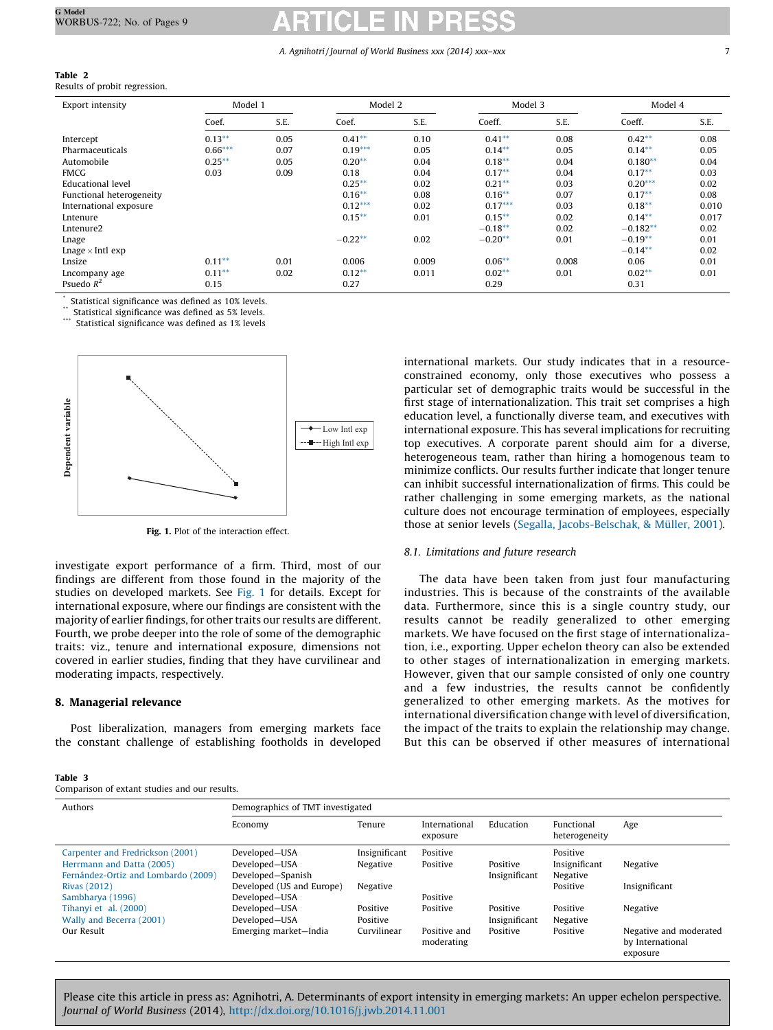# <span id="page-6-0"></span>Table 2

Results of probit regression.

| Export intensity         | Model 1   |      | Model 2   |       | Model 3   |       | Model 4    |       |
|--------------------------|-----------|------|-----------|-------|-----------|-------|------------|-------|
|                          | Coef.     | S.E. | Coef.     | S.E.  | Coeff.    | S.E.  | Coeff.     | S.E.  |
| Intercept                | $0.13***$ | 0.05 | $0.41***$ | 0.10  | $0.41***$ | 0.08  | $0.42***$  | 0.08  |
| <b>Pharmaceuticals</b>   | $0.66***$ | 0.07 | $0.19***$ | 0.05  | $0.14***$ | 0.05  | $0.14***$  | 0.05  |
| Automobile               | $0.25***$ | 0.05 | $0.20**$  | 0.04  | $0.18**$  | 0.04  | $0.180**$  | 0.04  |
| <b>FMCG</b>              | 0.03      | 0.09 | 0.18      | 0.04  | $0.17**$  | 0.04  | $0.17**$   | 0.03  |
| Educational level        |           |      | $0.25***$ | 0.02  | $0.21**$  | 0.03  | $0.20***$  | 0.02  |
| Functional heterogeneity |           |      | $0.16**$  | 0.08  | $0.16***$ | 0.07  | $0.17**$   | 0.08  |
| International exposure   |           |      | $0.12***$ | 0.02  | $0.17***$ | 0.03  | $0.18***$  | 0.010 |
| Lntenure                 |           |      | $0.15***$ | 0.01  | $0.15***$ | 0.02  | $0.14***$  | 0.017 |
| Lntenure <sub>2</sub>    |           |      |           |       | $-0.18**$ | 0.02  | $-0.182**$ | 0.02  |
| Lnage                    |           |      | $-0.22**$ | 0.02  | $-0.20**$ | 0.01  | $-0.19**$  | 0.01  |
| Lnage $\times$ Intl exp  |           |      |           |       |           |       | $-0.14**$  | 0.02  |
| Lnsize                   | $0.11***$ | 0.01 | 0.006     | 0.009 | $0.06**$  | 0.008 | 0.06       | 0.01  |
| Lncompany age            | $0.11***$ | 0.02 | $0.12**$  | 0.011 | $0.02**$  | 0.01  | $0.02**$   | 0.01  |
| Psuedo $R^2$             | 0.15      |      | 0.27      |       | 0.29      |       | 0.31       |       |

Statistical significance was defined as 10% levels.

Statistical significance was defined as 5% levels.

Statistical significance was defined as 1% levels



Fig. 1. Plot of the interaction effect.

investigate export performance of a firm. Third, most of our findings are different from those found in the majority of the studies on developed markets. See Fig. 1 for details. Except for international exposure, where our findings are consistent with the majority of earlier findings, for other traits our results are different. Fourth, we probe deeper into the role of some of the demographic traits: viz., tenure and international exposure, dimensions not covered in earlier studies, finding that they have curvilinear and moderating impacts, respectively.

### 8. Managerial relevance

Post liberalization, managers from emerging markets face the constant challenge of establishing footholds in developed

| Table 3 |  |                                               |  |  |
|---------|--|-----------------------------------------------|--|--|
|         |  | Comparison of extant studies and our results. |  |  |

international markets. Our study indicates that in a resourceconstrained economy, only those executives who possess a particular set of demographic traits would be successful in the first stage of internationalization. This trait set comprises a high education level, a functionally diverse team, and executives with international exposure. This has several implications for recruiting top executives. A corporate parent should aim for a diverse, heterogeneous team, rather than hiring a homogenous team to minimize conflicts. Our results further indicate that longer tenure can inhibit successful internationalization of firms. This could be rather challenging in some emerging markets, as the national culture does not encourage termination of employees, especially those at senior levels (Segalla, [Jacobs-Belschak,](#page-8-0) & Müller, 2001).

### 8.1. Limitations and future research

The data have been taken from just four manufacturing industries. This is because of the constraints of the available data. Furthermore, since this is a single country study, our results cannot be readily generalized to other emerging markets. We have focused on the first stage of internationalization, i.e., exporting. Upper echelon theory can also be extended to other stages of internationalization in emerging markets. However, given that our sample consisted of only one country and a few industries, the results cannot be confidently generalized to other emerging markets. As the motives for international diversification change with level of diversification, the impact of the traits to explain the relationship may change. But this can be observed if other measures of international

| Authors                             | Demographics of TMT investigated |               |                            |               |                             |                                                        |  |
|-------------------------------------|----------------------------------|---------------|----------------------------|---------------|-----------------------------|--------------------------------------------------------|--|
|                                     | Economy                          | Tenure        | International<br>exposure  | Education     | Functional<br>heterogeneity | Age                                                    |  |
| Carpenter and Fredrickson (2001)    | Developed-USA                    | Insignificant | Positive                   |               | Positive                    |                                                        |  |
| Herrmann and Datta (2005)           | Developed-USA                    | Negative      | Positive                   | Positive      | Insignificant               | Negative                                               |  |
| Fernández-Ortiz and Lombardo (2009) | Developed-Spanish                |               |                            | Insignificant | Negative                    |                                                        |  |
| <b>Rivas (2012)</b>                 | Developed (US and Europe)        | Negative      |                            |               | Positive                    | Insignificant                                          |  |
| Sambharya (1996)                    | Developed-USA                    |               | Positive                   |               |                             |                                                        |  |
| Tihanyi et al. (2000)               | Developed-USA                    | Positive      | Positive                   | Positive      | Positive                    | Negative                                               |  |
| Wally and Becerra (2001)            | Developed-USA                    | Positive      |                            | Insignificant | Negative                    |                                                        |  |
| Our Result                          | Emerging market-India            | Curvilinear   | Positive and<br>moderating | Positive      | Positive                    | Negative and moderated<br>by International<br>exposure |  |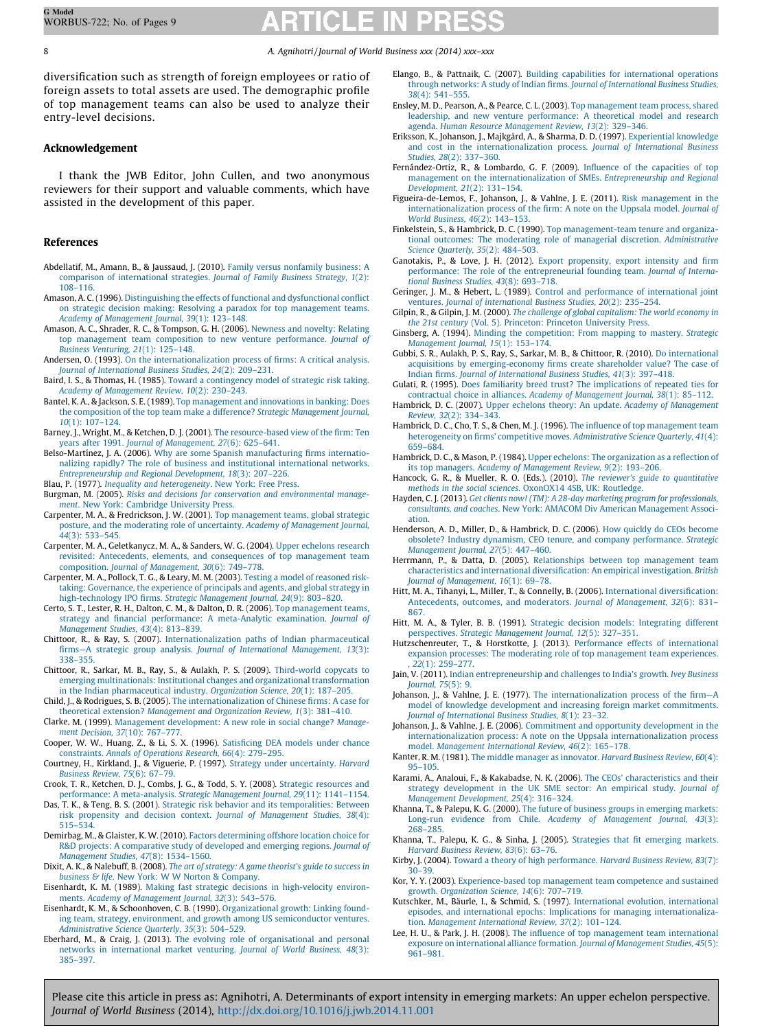diversification such as strength of foreign employees or ratio of foreign assets to total assets are used. The demographic profile of top management teams can also be used to analyze their entry-level decisions.

# Acknowledgement

I thank the JWB Editor, John Cullen, and two anonymous reviewers for their support and valuable comments, which have assisted in the development of this paper.

# References

- Abdellatif, M., Amann, B., & Jaussaud, J. (2010). Family versus [nonfamily](http://refhub.elsevier.com/S1090-9516(14)00094-7/sbref0005) business: A comparison of [international](http://refhub.elsevier.com/S1090-9516(14)00094-7/sbref0005) strategies. Journal of Family Business Strategy, 1(2): [108–116.](http://refhub.elsevier.com/S1090-9516(14)00094-7/sbref0005)
- Amason, A. C. (1996). [Distinguishing](http://refhub.elsevier.com/S1090-9516(14)00094-7/sbref0015) the effects of functional and dysfunctional conflict on strategic decision making: Resolving a paradox for top [management](http://refhub.elsevier.com/S1090-9516(14)00094-7/sbref0015) teams. Academy of [Management](http://refhub.elsevier.com/S1090-9516(14)00094-7/sbref0015) Journal, 39(1): 123–148.
- Amason, A. C., Shrader, R. C., & Tompson, G. H. (2006). [Newness](http://refhub.elsevier.com/S1090-9516(14)00094-7/sbref0010) and novelty: Relating top management team composition to new venture [performance.](http://refhub.elsevier.com/S1090-9516(14)00094-7/sbref0010) Journal of Business [Venturing,](http://refhub.elsevier.com/S1090-9516(14)00094-7/sbref0010) 21(1): 125–148.
- Andersen, O. (1993). On the [internationalization](http://refhub.elsevier.com/S1090-9516(14)00094-7/sbref0020) process of firms: A critical analysis. Journal of [International](http://refhub.elsevier.com/S1090-9516(14)00094-7/sbref0020) Business Studies, 24(2): 209–231.
- Baird, I. S., & Thomas, H. (1985). Toward a [contingency](http://refhub.elsevier.com/S1090-9516(14)00094-7/sbref0025) model of strategic risk taking. Academy of [Management](http://refhub.elsevier.com/S1090-9516(14)00094-7/sbref0025) Review, 10(2): 230–243.
- Bantel, K. A., & Jackson, S. E. (1989). Top [management](http://refhub.elsevier.com/S1090-9516(14)00094-7/sbref0030) and innovations in banking: Does the composition of the top team make a difference? Strategic [Management](http://refhub.elsevier.com/S1090-9516(14)00094-7/sbref0030) Journal, 10(1): [107–124.](http://refhub.elsevier.com/S1090-9516(14)00094-7/sbref0030)
- Barney, J., Wright, M., & Ketchen, D. J. (2001). The [resource-based](http://refhub.elsevier.com/S1090-9516(14)00094-7/sbref0035) view of the firm: Ten years after 1991. Journal of [Management,](http://refhub.elsevier.com/S1090-9516(14)00094-7/sbref0035) 27(6): 625–641.
- Belso-Martínez, J. A. (2006). Why are some Spanish [manufacturing](http://refhub.elsevier.com/S1090-9516(14)00094-7/sbref0040) firms internationalizing rapidly? The role of business and institutional [international](http://refhub.elsevier.com/S1090-9516(14)00094-7/sbref0040) networks. [Entrepreneurship](http://refhub.elsevier.com/S1090-9516(14)00094-7/sbref0040) and Regional Development, 18(3): 207–226.
- Blau, P. (1977). Inequality and [heterogeneity](http://refhub.elsevier.com/S1090-9516(14)00094-7/sbref0045). New York: Free Press.
- Burgman, M. (2005). Risks and decisions for conservation and [environmental](http://refhub.elsevier.com/S1090-9516(14)00094-7/sbref0050) management. New York: [Cambridge](http://refhub.elsevier.com/S1090-9516(14)00094-7/sbref0050) University Press.
- Carpenter, M. A., & Fredrickson, J. W. (2001). Top [management](http://refhub.elsevier.com/S1090-9516(14)00094-7/sbref0055) teams, global strategic posture, and the moderating role of uncertainty. Academy of [Management](http://refhub.elsevier.com/S1090-9516(14)00094-7/sbref0055) Journal, 44(3): [533–545.](http://refhub.elsevier.com/S1090-9516(14)00094-7/sbref0055)
- Carpenter, M. A., Geletkanycz, M. A., & Sanders, W. G. (2004). Upper [echelons](http://refhub.elsevier.com/S1090-9516(14)00094-7/sbref0060) research revisited: Antecedents, elements, and [consequences](http://refhub.elsevier.com/S1090-9516(14)00094-7/sbref0060) of top management team composition. Journal of [Management,](http://refhub.elsevier.com/S1090-9516(14)00094-7/sbref0060) 30(6): 749–778.
- Carpenter, M. A., Pollock, T. G., & Leary, M. M. (2003). Testing a model of [reasoned](http://refhub.elsevier.com/S1090-9516(14)00094-7/sbref0065) risktaking: [Governance,](http://refhub.elsevier.com/S1090-9516(14)00094-7/sbref0065) the experience of principals and agents, and global strategy in [high-technology](http://refhub.elsevier.com/S1090-9516(14)00094-7/sbref0065) IPO firms. Strategic Management Journal, 24(9): 803–820.
- Certo, S. T., Lester, R. H., Dalton, C. M., & Dalton, D. R. (2006). Top [management](http://refhub.elsevier.com/S1090-9516(14)00094-7/sbref0070) teams, strategy and financial performance: A [meta-Analytic](http://refhub.elsevier.com/S1090-9516(14)00094-7/sbref0070) examination. Journal of [Management](http://refhub.elsevier.com/S1090-9516(14)00094-7/sbref0070) Studies, 43(4): 813–839.
- Chittoor, R., & Ray, S. (2007). [Internationalization](http://refhub.elsevier.com/S1090-9516(14)00094-7/sbref0075) paths of Indian pharmaceutical firms—A strategic group analysis. Journal of International [Management,](http://refhub.elsevier.com/S1090-9516(14)00094-7/sbref0075) 13(3): [338–355.](http://refhub.elsevier.com/S1090-9516(14)00094-7/sbref0075)
- Chittoor, R., Sarkar, M. B., Ray, S., & Aulakh, P. S. (2009). [Third-world](http://refhub.elsevier.com/S1090-9516(14)00094-7/sbref0080) copycats to emerging [multinationals:](http://refhub.elsevier.com/S1090-9516(14)00094-7/sbref0080) Institutional changes and organizational transformation in the Indian [pharmaceutical](http://refhub.elsevier.com/S1090-9516(14)00094-7/sbref0080) industry. Organization Science, 20(1): 187–205.
- Child, J., & Rodrigues, S. B. (2005). The [internationalization](http://refhub.elsevier.com/S1090-9516(14)00094-7/sbref0085) of Chinese firms: A case for theoretical extension? [Management](http://refhub.elsevier.com/S1090-9516(14)00094-7/sbref0085) and Organization Review, 1(3): 381–410.
- Clarke, M. (1999). Management [development:](http://refhub.elsevier.com/S1090-9516(14)00094-7/sbref0090) A new role in social change? Management Decision, 37(10): [767–777](http://refhub.elsevier.com/S1090-9516(14)00094-7/sbref0090).
- Cooper, W. W., Huang, Z., & Li, S. X. (1996). [Satisficing](http://refhub.elsevier.com/S1090-9516(14)00094-7/sbref0095) DEA models under chance [constraints.](http://refhub.elsevier.com/S1090-9516(14)00094-7/sbref0095) Annals of Operations Research, 66(4): 279–295.
- Courtney, H., Kirkland, J., & Viguerie, P. (1997). Strategy under [uncertainty.](http://refhub.elsevier.com/S1090-9516(14)00094-7/sbref0100) Harvard [Business](http://refhub.elsevier.com/S1090-9516(14)00094-7/sbref0100) Review, 75(6): 67–79.
- Crook, T. R., Ketchen, D. J., Combs, J. G., & Todd, S. Y. (2008). Strategic [resources](http://refhub.elsevier.com/S1090-9516(14)00094-7/sbref0105) and performance: A [meta-analysis.](http://refhub.elsevier.com/S1090-9516(14)00094-7/sbref0105) Strategic Management Journal, 29(11): 1141–1154.
- Das, T. K., & Teng, B. S. (2001). Strategic risk behavior and its [temporalities:](http://refhub.elsevier.com/S1090-9516(14)00094-7/sbref0110) Between risk propensity and decision context. Journal of [Management](http://refhub.elsevier.com/S1090-9516(14)00094-7/sbref0110) Studies, 38(4): [515–534.](http://refhub.elsevier.com/S1090-9516(14)00094-7/sbref0110)
- Demirbag, M., & Glaister, K. W. (2010). Factors [determining](http://refhub.elsevier.com/S1090-9516(14)00094-7/sbref0115) offshore location choice for R&D projects: A [comparative](http://refhub.elsevier.com/S1090-9516(14)00094-7/sbref0115) study of developed and emerging regions. Journal of [Management](http://refhub.elsevier.com/S1090-9516(14)00094-7/sbref0115) Studies, 47(8): 1534–1560.
- Dixit, A. K., & Nalebuff, B. (2008). The art of strategy: A game [theorist's](http://refhub.elsevier.com/S1090-9516(14)00094-7/sbref0120) guide to success in business & life. New York: W W Norton & [Company.](http://refhub.elsevier.com/S1090-9516(14)00094-7/sbref0120)
- Eisenhardt, K. M. (1989). Making fast strategic decisions in [high-velocity](http://refhub.elsevier.com/S1090-9516(14)00094-7/sbref0125) environments. Academy of [Management](http://refhub.elsevier.com/S1090-9516(14)00094-7/sbref0125) Journal, 32(3): 543–576.
- Eisenhardt, K. M., & Schoonhoven, C. B. (1990). [Organizational](http://refhub.elsevier.com/S1090-9516(14)00094-7/sbref0130) growth: Linking founding team, strategy, environment, and growth among US [semiconductor](http://refhub.elsevier.com/S1090-9516(14)00094-7/sbref0130) ventures. [Administrative](http://refhub.elsevier.com/S1090-9516(14)00094-7/sbref0130) Science Quarterly, 35(3): 504–529.
- Eberhard, M., & Craig, J. (2013). The evolving role of [organisational](http://refhub.elsevier.com/S1090-9516(14)00094-7/sbref0135) and personal networks in [international](http://refhub.elsevier.com/S1090-9516(14)00094-7/sbref0135) market venturing. Journal of World Business, 48(3): [385–397.](http://refhub.elsevier.com/S1090-9516(14)00094-7/sbref0135)
- Elango, B., & Pattnaik, C. (2007). Building capabilities for [international](http://refhub.elsevier.com/S1090-9516(14)00094-7/sbref0140) operations through networks: A study of Indian firms. Journal of [International](http://refhub.elsevier.com/S1090-9516(14)00094-7/sbref0140) Business Studies, 38(4): [541–555.](http://refhub.elsevier.com/S1090-9516(14)00094-7/sbref0140)
- Ensley, M. D., Pearson, A., & Pearce, C. L. (2003). Top [management](http://refhub.elsevier.com/S1090-9516(14)00094-7/sbref0145) team process, shared leadership, and new venture [performance:](http://refhub.elsevier.com/S1090-9516(14)00094-7/sbref0145) A theoretical model and research agenda. Human Resource [Management](http://refhub.elsevier.com/S1090-9516(14)00094-7/sbref0145) Review, 13(2): 329–346.
- Eriksson, K., Johanson, J., Majkgård, A., & Sharma, D. D. (1997). [Experiential](http://refhub.elsevier.com/S1090-9516(14)00094-7/sbref0150) knowledge and cost in the [internationalization](http://refhub.elsevier.com/S1090-9516(14)00094-7/sbref0150) process. Journal of International Business Studies, 28(2): [337–360](http://refhub.elsevier.com/S1090-9516(14)00094-7/sbref0150).
- Fernández-Ortiz, R., & Lombardo, G. F. (2009). Influence of the [capacities](http://refhub.elsevier.com/S1090-9516(14)00094-7/sbref0155) of top management on the [internationalization](http://refhub.elsevier.com/S1090-9516(14)00094-7/sbref0155) of SMEs. Entrepreneurship and Regional [Development,](http://refhub.elsevier.com/S1090-9516(14)00094-7/sbref0155) 21(2): 131–154.
- Figueira-de-Lemos, F., Johanson, J., & Vahlne, J. E. (2011). Risk [management](http://refhub.elsevier.com/S1090-9516(14)00094-7/sbref0160) in the [internationalization](http://refhub.elsevier.com/S1090-9516(14)00094-7/sbref0160) process of the firm: A note on the Uppsala model. Journal of World Business, 46(2): [143–153](http://refhub.elsevier.com/S1090-9516(14)00094-7/sbref0160).
- Finkelstein, S., & Hambrick, D. C. (1990). Top [management-team](http://refhub.elsevier.com/S1090-9516(14)00094-7/sbref0165) tenure and organizational outcomes: The moderating role of managerial discretion. [Administrative](http://refhub.elsevier.com/S1090-9516(14)00094-7/sbref0165) Science [Quarterly,](http://refhub.elsevier.com/S1090-9516(14)00094-7/sbref0165) 35(2): 484–503.
- Ganotakis, P., & Love, J. H. (2012). Export [propensity,](http://refhub.elsevier.com/S1090-9516(14)00094-7/sbref0175) export intensity and firm performance: The role of the [entrepreneurial](http://refhub.elsevier.com/S1090-9516(14)00094-7/sbref0175) founding team. Journal of International Business Studies, 43(8): [693–718](http://refhub.elsevier.com/S1090-9516(14)00094-7/sbref0175).
- Geringer, J. M., & Hebert, L. (1989). Control and performance of [international](http://refhub.elsevier.com/S1090-9516(14)00094-7/sbref0180) joint ventures. Journal of [international](http://refhub.elsevier.com/S1090-9516(14)00094-7/sbref0180) Business Studies, 20(2): 235–254.
- Gilpin, R., & Gilpin, J. M. (2000). The challenge of global [capitalism:](http://refhub.elsevier.com/S1090-9516(14)00094-7/sbref0185) The world economy in the 21st century (Vol. 5). [Princeton:](http://refhub.elsevier.com/S1090-9516(14)00094-7/sbref0185) Princeton University Press.
- Ginsberg, A. (1994). Minding the [competition:](http://refhub.elsevier.com/S1090-9516(14)00094-7/sbref0190) From mapping to mastery. Strategic [Management](http://refhub.elsevier.com/S1090-9516(14)00094-7/sbref0190) Journal, 15(1): 153–174.
- Gubbi, S. R., Aulakh, P. S., Ray, S., Sarkar, M. B., & Chittoor, R. (2010). Do [international](http://refhub.elsevier.com/S1090-9516(14)00094-7/sbref0191) acquisitions by [emerging-economy](http://refhub.elsevier.com/S1090-9516(14)00094-7/sbref0191) firms create shareholder value? The case of Indian firms. Journal of [International](http://refhub.elsevier.com/S1090-9516(14)00094-7/sbref0191) Business Studies, 41(3): 397–418.
- Gulati, R. (1995). Does familiarity breed trust? The [implications](http://refhub.elsevier.com/S1090-9516(14)00094-7/sbref0195) of repeated ties for contractual choice in alliances. Academy of [Management](http://refhub.elsevier.com/S1090-9516(14)00094-7/sbref0195) Journal, 38(1): 85–112.
- Hambrick, D. C. (2007). Upper echelons theory: An update. Academy of [Management](http://refhub.elsevier.com/S1090-9516(14)00094-7/sbref0200) Review, 32(2): [334–343](http://refhub.elsevier.com/S1090-9516(14)00094-7/sbref0200).
- Hambrick, D. C., Cho, T. S., & Chen, M. J. (1996). The influence of top [management](http://refhub.elsevier.com/S1090-9516(14)00094-7/sbref0205) team heterogeneity on firms' competitive moves. [Administrative](http://refhub.elsevier.com/S1090-9516(14)00094-7/sbref0205) Science Quarterly, 41(4): [659–684.](http://refhub.elsevier.com/S1090-9516(14)00094-7/sbref0205)
- Hambrick, D. C., & Mason, P. (1984). Upper echelons: The [organization](http://refhub.elsevier.com/S1090-9516(14)00094-7/sbref0210) as a reflection of its top managers. Academy of [Management](http://refhub.elsevier.com/S1090-9516(14)00094-7/sbref0210) Review, 9(2): 193–206.
- Hancock, G. R., & Mueller, R. O. (Eds.). (2010). The reviewer's guide to [quantitative](http://refhub.elsevier.com/S1090-9516(14)00094-7/sbref0215) methods in the social sciences. [OxonOX14](http://refhub.elsevier.com/S1090-9516(14)00094-7/sbref0215) 4SB, UK: Routledge.
- Hayden, C.J. (2013). Get clients now! (TM): A 28-day marketing program for [professionals,](http://refhub.elsevier.com/S1090-9516(14)00094-7/sbref0220) consultants, and coaches. New York: AMACOM Div American [Management](http://refhub.elsevier.com/S1090-9516(14)00094-7/sbref0220) Associ[ation.](http://refhub.elsevier.com/S1090-9516(14)00094-7/sbref0220)
- Henderson, A. D., Miller, D., & Hambrick, D. C. (2006). How quickly do CEOs [become](http://refhub.elsevier.com/S1090-9516(14)00094-7/sbref0225) obsolete? Industry dynamism, CEO tenure, and company [performance.](http://refhub.elsevier.com/S1090-9516(14)00094-7/sbref0225) Strategic [Management](http://refhub.elsevier.com/S1090-9516(14)00094-7/sbref0225) Journal, 27(5): 447–460.
- Herrmann, P., & Datta, D. (2005). [Relationships](http://refhub.elsevier.com/S1090-9516(14)00094-7/sbref0230) between top management team characteristics and international [diversification:](http://refhub.elsevier.com/S1090-9516(14)00094-7/sbref0230) An empirical investigation. British Journal of [Management,](http://refhub.elsevier.com/S1090-9516(14)00094-7/sbref0230) 16(1): 69–78.
- Hitt, M. A., Tihanyi, L., Miller, T., & Connelly, B. (2006). International [diversification:](http://refhub.elsevier.com/S1090-9516(14)00094-7/sbref0245) Antecedents, outcomes, and moderators. Journal of [Management,](http://refhub.elsevier.com/S1090-9516(14)00094-7/sbref0245) 32(6): 831– [867](http://refhub.elsevier.com/S1090-9516(14)00094-7/sbref0245).
- Hitt, M. A., & Tyler, B. B. (1991). Strategic decision models: [Integrating](http://refhub.elsevier.com/S1090-9516(14)00094-7/sbref0235) different [perspectives.](http://refhub.elsevier.com/S1090-9516(14)00094-7/sbref0235) Strategic Management Journal, 12(5): 327–351.
- Hutzschenreuter, T., & Horstkotte, J. (2013). Performance effects of [international](http://refhub.elsevier.com/S1090-9516(14)00094-7/sbref0240) expansion processes: The moderating role of top [management](http://refhub.elsevier.com/S1090-9516(14)00094-7/sbref0240) team experiences. , 22(1): [259–277](http://refhub.elsevier.com/S1090-9516(14)00094-7/sbref0240).
- Jain, V. (2011). Indian [entrepreneurship](http://refhub.elsevier.com/S1090-9516(14)00094-7/sbref0250) and challenges to India's growth. Ivey Business [Journal,](http://refhub.elsevier.com/S1090-9516(14)00094-7/sbref0250) 75(5): 9.
- Johanson, J., & Vahlne, J. E. (1977). The [internationalization](http://refhub.elsevier.com/S1090-9516(14)00094-7/sbref0260) process of the firm—A model of knowledge development and increasing foreign market [commitments.](http://refhub.elsevier.com/S1090-9516(14)00094-7/sbref0260) Journal of [International](http://refhub.elsevier.com/S1090-9516(14)00094-7/sbref0260) Business Studies, 8(1): 23–32.
- Johanson, J., & Vahlne, J. E. (2006). [Commitment](http://refhub.elsevier.com/S1090-9516(14)00094-7/sbref0255) and opportunity development in the internationalization process: A note on the Uppsala [internationalization](http://refhub.elsevier.com/S1090-9516(14)00094-7/sbref0255) process model. [Management](http://refhub.elsevier.com/S1090-9516(14)00094-7/sbref0255) International Review, 46(2): 165–178.
- Kanter, R. M. (1981). The middle manager as [innovator.](http://refhub.elsevier.com/S1090-9516(14)00094-7/sbref0265) Harvard Business Review, 60(4): [95–105.](http://refhub.elsevier.com/S1090-9516(14)00094-7/sbref0265)
- Karami, A., Analoui, F., & Kakabadse, N. K. (2006). The CEOs' [characteristics](http://refhub.elsevier.com/S1090-9516(14)00094-7/sbref0285) and their strategy [development](http://refhub.elsevier.com/S1090-9516(14)00094-7/sbref0285) in the UK SME sector: An empirical study. Journal of Management [Development,](http://refhub.elsevier.com/S1090-9516(14)00094-7/sbref0285) 25(4): 316–324.
- Khanna, T., & Palepu, K. G. (2000). The future of business groups in [emerging](http://refhub.elsevier.com/S1090-9516(14)00094-7/sbref0275) markets: Long-run evidence from Chile. Academy of [Management](http://refhub.elsevier.com/S1090-9516(14)00094-7/sbref0275) Journal, 43(3): [268–285.](http://refhub.elsevier.com/S1090-9516(14)00094-7/sbref0275)
- Khanna, T., Palepu, K. G., & Sinha, J. (2005). [Strategies](http://refhub.elsevier.com/S1090-9516(14)00094-7/sbref0270) that fit emerging markets. Harvard [Business](http://refhub.elsevier.com/S1090-9516(14)00094-7/sbref0270) Review, 83(6): 63–76.
- Kirby, J. (2004). Toward a theory of high [performance.](http://refhub.elsevier.com/S1090-9516(14)00094-7/sbref0280) Harvard Business Review, 83(7): [30–39](http://refhub.elsevier.com/S1090-9516(14)00094-7/sbref0280).
- Kor, Y. Y. (2003). [Experience-based](http://refhub.elsevier.com/S1090-9516(14)00094-7/sbref0290) top management team competence and sustained growth. [Organization](http://refhub.elsevier.com/S1090-9516(14)00094-7/sbref0290) Science, 14(6): 707–719.
- Kutschker, M., Bäurle, I., & Schmid, S. (1997). International evolution, [international](http://refhub.elsevier.com/S1090-9516(14)00094-7/sbref0295) episodes, and international epochs: Implications for managing [internationaliza](http://refhub.elsevier.com/S1090-9516(14)00094-7/sbref0295)tion. [Management](http://refhub.elsevier.com/S1090-9516(14)00094-7/sbref0295) International Review, 37(2): 101–124.
- Lee, H. U., & Park, J. H. (2008). The influence of top [management](http://refhub.elsevier.com/S1090-9516(14)00094-7/sbref0305) team international exposure on [international](http://refhub.elsevier.com/S1090-9516(14)00094-7/sbref0305) alliance formation. Journal of Management Studies, 45(5): [961–981.](http://refhub.elsevier.com/S1090-9516(14)00094-7/sbref0305)

<span id="page-7-0"></span>